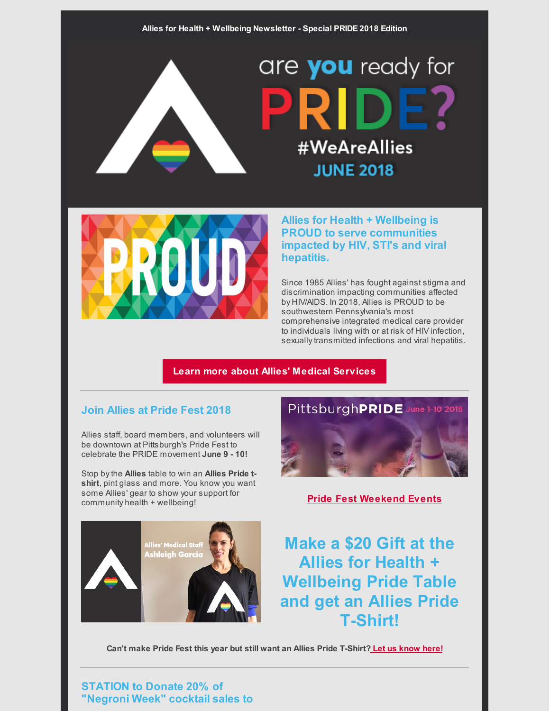are **you** ready for #WeAreAllies **JUNE 2018** 



**Allies for Health + Wellbeing is PROUD to serve communities impacted by HIV, STI's and viral hepatitis.**

Since 1985 Allies' has fought against stigma and discrimination impacting communities affected by HIV/AIDS. In 2018, Allies is PROUD to be southwestern Pennsylvania's most comprehensive integrated medical care provider to individuals living with or at risk of HIV infection, sexually transmitted infections and viral hepatitis.

#### **Learn more about Allies' Medical [Services](https://alliespgh.org/clinic-services/)**

## **Join Allies at Pride Fest 2018**

Allies staff, board members, and volunteers will be downtown at Pittsburgh's Pride Fest to celebrate the PRIDE movement **June 9 - 10!**

Stop bythe **Allies** table to win an **Allies Pride tshirt**, pint glass and more. You know you want some Allies' gear to show your support for community health <sup>+</sup> wellbeing! **Pride Fest [Weekend](https://www.pittsburghpride.org/events/) Events**

Allies' Medical Stal<br><mark>Ashleigh Garci</mark>



**Make a \$20 Gift at the Allies for Health + Wellbeing Pride Table and get an Allies Pride T-Shirt!**

**Can't make Pride Fest this year but still want an Allies Pride T-Shirt? Let us [know](mailto:bmcgowan@alliespgh.org) here!**

**STATION to Donate 20% of "Negroni Week" cocktail sales to**